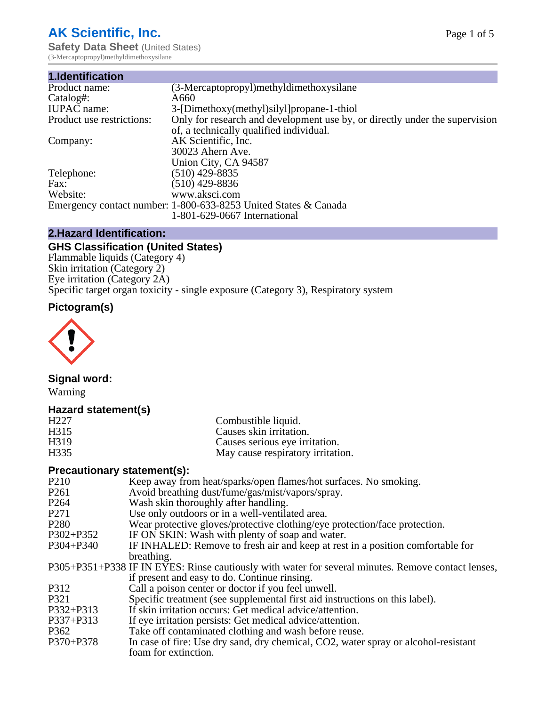# **AK Scientific, Inc.**

**Safety Data Sheet (United States)** (3-Mercaptopropyl)methyldimethoxysilane

| 1.Identification          |                                                                             |
|---------------------------|-----------------------------------------------------------------------------|
| Product name:             | (3-Mercaptopropyl)methyldimethoxysilane                                     |
| Catalog#:                 | A660                                                                        |
| <b>IUPAC</b> name:        | 3-[Dimethoxy(methyl)silyl]propane-1-thiol                                   |
| Product use restrictions: | Only for research and development use by, or directly under the supervision |
|                           | of, a technically qualified individual.                                     |
| Company:                  | AK Scientific, Inc.                                                         |
|                           | 30023 Ahern Ave.                                                            |
|                           | Union City, CA 94587                                                        |
| Telephone:                | $(510)$ 429-8835                                                            |
| Fax:                      | $(510)$ 429-8836                                                            |
| Website:                  | www.aksci.com                                                               |
|                           | Emergency contact number: 1-800-633-8253 United States & Canada             |
|                           | 1-801-629-0667 International                                                |

### **2.Hazard Identification:**

## **GHS Classification (United States)**

Flammable liquids (Category 4) Skin irritation (Category 2) Eye irritation (Category 2A) Specific target organ toxicity - single exposure (Category 3), Respiratory system

# **Pictogram(s)**



### **Signal word:**

Warning

### **Hazard statement(s)**

| H <sub>227</sub>  | Combustible liquid.               |
|-------------------|-----------------------------------|
| H315              | Causes skin irritation.           |
| H <sub>3</sub> 19 | Causes serious eye irritation.    |
| H <sub>335</sub>  | May cause respiratory irritation. |
|                   |                                   |

### **Precautionary statement(s):**

| P <sub>210</sub> | Keep away from heat/sparks/open flames/hot surfaces. No smoking.                                   |
|------------------|----------------------------------------------------------------------------------------------------|
| P <sub>261</sub> | Avoid breathing dust/fume/gas/mist/vapors/spray.                                                   |
| P <sub>264</sub> | Wash skin thoroughly after handling.                                                               |
| P271             | Use only outdoors or in a well-ventilated area.                                                    |
| P <sub>280</sub> | Wear protective gloves/protective clothing/eye protection/face protection.                         |
| P302+P352        | IF ON SKIN: Wash with plenty of soap and water.                                                    |
| P304+P340        | IF INHALED: Remove to fresh air and keep at rest in a position comfortable for                     |
|                  | breathing.                                                                                         |
|                  | P305+P351+P338 IF IN EYES: Rinse cautiously with water for several minutes. Remove contact lenses, |
|                  | if present and easy to do. Continue rinsing.                                                       |
| P312             | Call a poison center or doctor if you feel unwell.                                                 |
| P321             | Specific treatment (see supplemental first aid instructions on this label).                        |
| P332+P313        | If skin irritation occurs: Get medical advice/attention.                                           |
| P337+P313        | If eye irritation persists: Get medical advice/attention.                                          |
| P362             | Take off contaminated clothing and wash before reuse.                                              |
| P370+P378        | In case of fire: Use dry sand, dry chemical, CO2, water spray or alcohol-resistant                 |
|                  | foam for extinction.                                                                               |
|                  |                                                                                                    |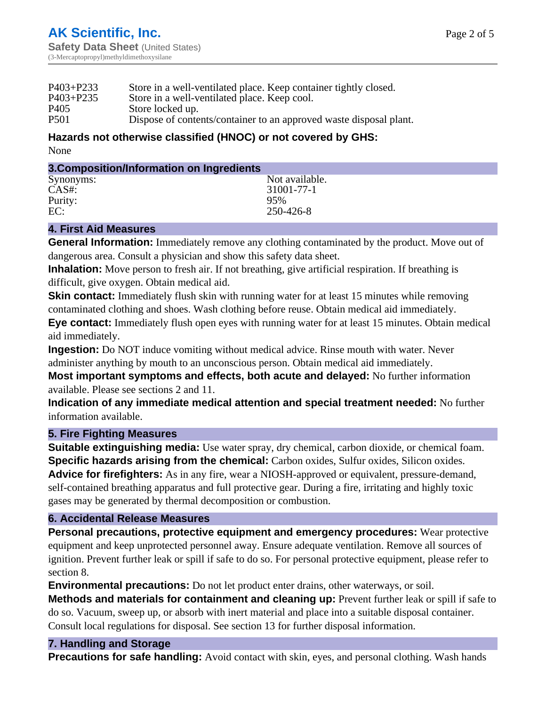| $P403 + P233$                        | Store in a well-ventilated place. Keep container tightly closed.   |
|--------------------------------------|--------------------------------------------------------------------|
| $P403 + P235$                        | Store in a well-ventilated place. Keep cool.                       |
| P <sub>405</sub><br>Store locked up. |                                                                    |
| P <sub>501</sub>                     | Dispose of contents/container to an approved waste disposal plant. |

#### **Hazards not otherwise classified (HNOC) or not covered by GHS:** None

| 3. Composition/Information on Ingredients |                |
|-------------------------------------------|----------------|
| Synonyms:                                 | Not available. |
| $CAS#$ :                                  | 31001-77-1     |
| Purity:                                   | 95%            |
| EC:                                       | 250-426-8      |

### **4. First Aid Measures**

**General Information:** Immediately remove any clothing contaminated by the product. Move out of dangerous area. Consult a physician and show this safety data sheet.

**Inhalation:** Move person to fresh air. If not breathing, give artificial respiration. If breathing is difficult, give oxygen. Obtain medical aid.

**Skin contact:** Immediately flush skin with running water for at least 15 minutes while removing contaminated clothing and shoes. Wash clothing before reuse. Obtain medical aid immediately.

**Eye contact:** Immediately flush open eyes with running water for at least 15 minutes. Obtain medical aid immediately.

**Ingestion:** Do NOT induce vomiting without medical advice. Rinse mouth with water. Never administer anything by mouth to an unconscious person. Obtain medical aid immediately.

**Most important symptoms and effects, both acute and delayed:** No further information available. Please see sections 2 and 11.

**Indication of any immediate medical attention and special treatment needed:** No further information available.

### **5. Fire Fighting Measures**

**Suitable extinguishing media:** Use water spray, dry chemical, carbon dioxide, or chemical foam. **Specific hazards arising from the chemical:** Carbon oxides, Sulfur oxides, Silicon oxides. **Advice for firefighters:** As in any fire, wear a NIOSH-approved or equivalent, pressure-demand, self-contained breathing apparatus and full protective gear. During a fire, irritating and highly toxic gases may be generated by thermal decomposition or combustion.

### **6. Accidental Release Measures**

**Personal precautions, protective equipment and emergency procedures:** Wear protective equipment and keep unprotected personnel away. Ensure adequate ventilation. Remove all sources of ignition. Prevent further leak or spill if safe to do so. For personal protective equipment, please refer to section 8.

**Environmental precautions:** Do not let product enter drains, other waterways, or soil.

**Methods and materials for containment and cleaning up:** Prevent further leak or spill if safe to do so. Vacuum, sweep up, or absorb with inert material and place into a suitable disposal container. Consult local regulations for disposal. See section 13 for further disposal information.

### **7. Handling and Storage**

**Precautions for safe handling:** Avoid contact with skin, eyes, and personal clothing. Wash hands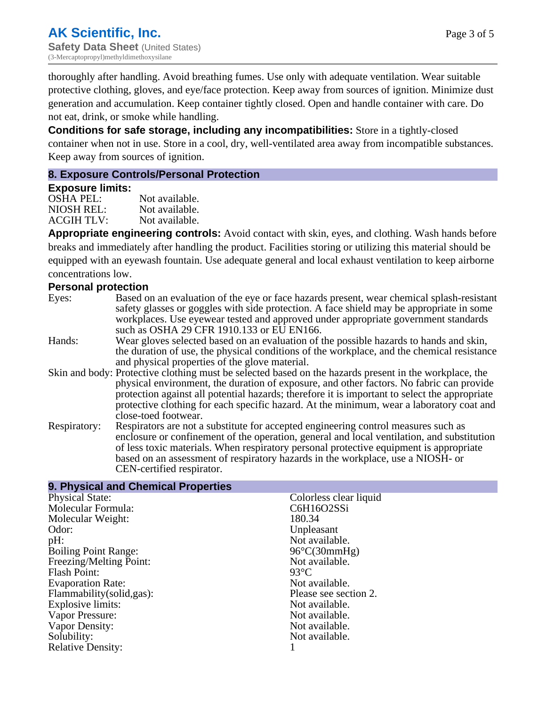thoroughly after handling. Avoid breathing fumes. Use only with adequate ventilation. Wear suitable protective clothing, gloves, and eye/face protection. Keep away from sources of ignition. Minimize dust generation and accumulation. Keep container tightly closed. Open and handle container with care. Do not eat, drink, or smoke while handling.

**Conditions for safe storage, including any incompatibilities:** Store in a tightly-closed container when not in use. Store in a cool, dry, well-ventilated area away from incompatible substances. Keep away from sources of ignition.

### **8. Exposure Controls/Personal Protection**

#### **Exposure limits:**

OSHA PEL: Not available. NIOSH REL: Not available.<br>ACGIH TLV: Not available. ACGIH TLV:

**Appropriate engineering controls:** Avoid contact with skin, eyes, and clothing. Wash hands before breaks and immediately after handling the product. Facilities storing or utilizing this material should be equipped with an eyewash fountain. Use adequate general and local exhaust ventilation to keep airborne concentrations low.

### **Personal protection**

- Eyes: Based on an evaluation of the eye or face hazards present, wear chemical splash-resistant safety glasses or goggles with side protection. A face shield may be appropriate in some workplaces. Use eyewear tested and approved under appropriate government standards such as OSHA 29 CFR 1910.133 or EU EN166.
- Hands: Wear gloves selected based on an evaluation of the possible hazards to hands and skin, the duration of use, the physical conditions of the workplace, and the chemical resistance and physical properties of the glove material.
- Skin and body: Protective clothing must be selected based on the hazards present in the workplace, the physical environment, the duration of exposure, and other factors. No fabric can provide protection against all potential hazards; therefore it is important to select the appropriate protective clothing for each specific hazard. At the minimum, wear a laboratory coat and close-toed footwear.
- Respiratory: Respirators are not a substitute for accepted engineering control measures such as enclosure or confinement of the operation, general and local ventilation, and substitution of less toxic materials. When respiratory personal protective equipment is appropriate based on an assessment of respiratory hazards in the workplace, use a NIOSH- or CEN-certified respirator.

### **9. Physical and Chemical Properties**

| <b>Physical State:</b>      | Colorless clear liquid |
|-----------------------------|------------------------|
| Molecular Formula:          | C6H16O2SSi             |
| Molecular Weight:           | 180.34                 |
| Odor:                       | Unpleasant             |
| $pH$ :                      | Not available.         |
| <b>Boiling Point Range:</b> | $96^{\circ}C(30mmHg)$  |
| Freezing/Melting Point:     | Not available.         |
| <b>Flash Point:</b>         | $93^{\circ}$ C         |
| <b>Evaporation Rate:</b>    | Not available.         |
| Flammability(solid,gas):    | Please see section 2.  |
| Explosive limits:           | Not available.         |
| Vapor Pressure:             | Not available.         |
| Vapor Density:              | Not available.         |
| Solubility:                 | Not available.         |
| <b>Relative Density:</b>    |                        |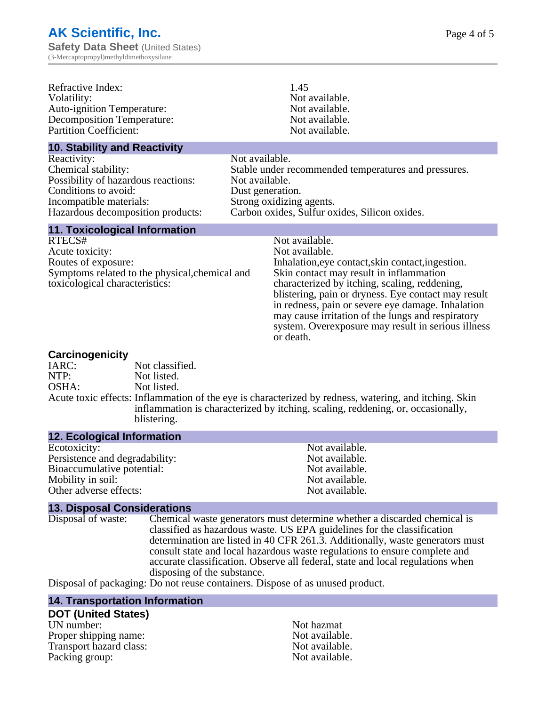| Refractive Index:<br>Volatility:<br><b>Auto-ignition Temperature:</b><br><b>Decomposition Temperature:</b><br><b>Partition Coefficient:</b>                       | 1.45<br>Not available.<br>Not available.<br>Not available.                                                                                                                                                                                                                                                                                                                                                            |
|-------------------------------------------------------------------------------------------------------------------------------------------------------------------|-----------------------------------------------------------------------------------------------------------------------------------------------------------------------------------------------------------------------------------------------------------------------------------------------------------------------------------------------------------------------------------------------------------------------|
|                                                                                                                                                                   | Not available.                                                                                                                                                                                                                                                                                                                                                                                                        |
| <b>10. Stability and Reactivity</b>                                                                                                                               |                                                                                                                                                                                                                                                                                                                                                                                                                       |
| Reactivity:<br>Chemical stability:<br>Possibility of hazardous reactions:<br>Conditions to avoid:<br>Incompatible materials:<br>Hazardous decomposition products: | Not available.<br>Stable under recommended temperatures and pressures.<br>Not available.<br>Dust generation.<br>Strong oxidizing agents.<br>Carbon oxides, Sulfur oxides, Silicon oxides.                                                                                                                                                                                                                             |
| <b>11. Toxicological Information</b>                                                                                                                              |                                                                                                                                                                                                                                                                                                                                                                                                                       |
| RTECS#<br>Acute toxicity:<br>Routes of exposure:<br>Symptoms related to the physical, chemical and<br>toxicological characteristics:                              | Not available.<br>Not available.<br>Inhalation, eye contact, skin contact, ingestion.<br>Skin contact may result in inflammation<br>characterized by itching, scaling, reddening,<br>blistering, pain or dryness. Eye contact may result<br>in redness, pain or severe eye damage. Inhalation<br>may cause irritation of the lungs and respiratory<br>system. Overexposure may result in serious illness<br>or death. |
| Coroinganniaity                                                                                                                                                   |                                                                                                                                                                                                                                                                                                                                                                                                                       |

#### **Carcinogenicity**

| $   -$ |                                                                                                                                                                                          |
|--------|------------------------------------------------------------------------------------------------------------------------------------------------------------------------------------------|
| IARC:  | Not classified.                                                                                                                                                                          |
| NTP:   | Not listed.                                                                                                                                                                              |
| OSHA:  | Not listed.                                                                                                                                                                              |
|        | Acute toxic effects: Inflammation of the eye is characterized by redness, watering, and itching. Skin<br>inflammation is characterized by itching, scaling, reddening, or, occasionally, |
|        | blistering.                                                                                                                                                                              |

### **12. Ecological Information**

| Not available. |
|----------------|
| Not available. |
| Not available. |
| Not available. |
| Not available. |
|                |

### **13. Disposal Considerations**

Disposal of waste: Chemical waste generators must determine whether a discarded chemical is classified as hazardous waste. US EPA guidelines for the classification determination are listed in 40 CFR 261.3. Additionally, waste generators must consult state and local hazardous waste regulations to ensure complete and accurate classification. Observe all federal, state and local regulations when disposing of the substance.

Disposal of packaging: Do not reuse containers. Dispose of as unused product.

### **14. Transportation Information**

### **DOT (United States)**

UN number: Not hazmat Proper shipping name:<br>
Transport hazard class:<br>
Not available.<br>
Not available. Transport hazard class:<br>
Packing group: Not available.<br>
Not available.<br>
Not available. Packing group: